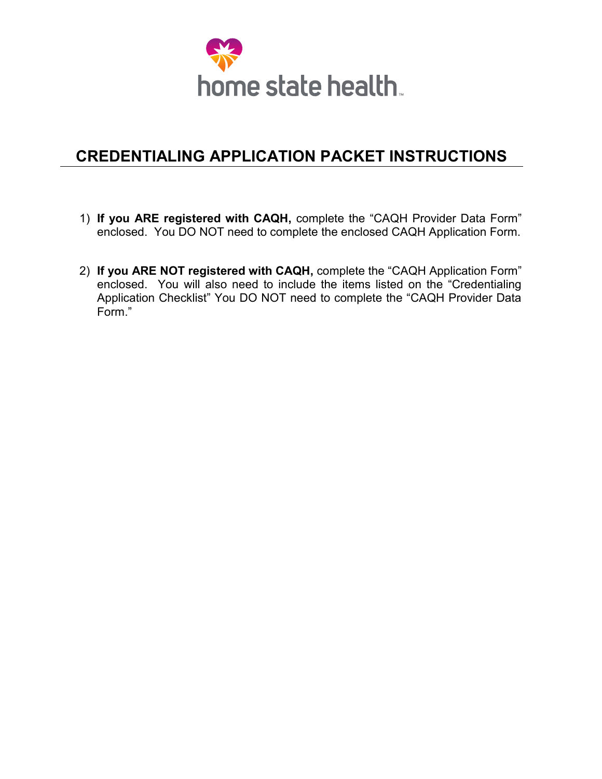

## **CREDENTIALING APPLICATION PACKET INSTRUCTIONS**

- 1) **If you ARE registered with CAQH,** complete the "CAQH Provider Data Form" enclosed. You DO NOT need to complete the enclosed CAQH Application Form.
- 2) **If you ARE NOT registered with CAQH,** complete the "CAQH Application Form" enclosed. You will also need to include the items listed on the "Credentialing Application Checklist" You DO NOT need to complete the "CAQH Provider Data Form."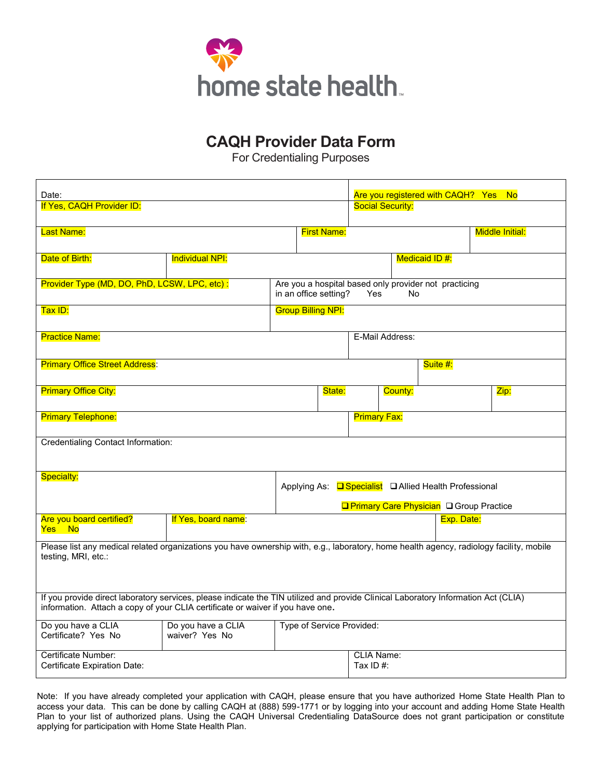

#### **CALL LOVIGION DATA FOR CAQH Provider Data Form**

*For Credentialing Purposes* For Credentialing Purposes

| Date:                                                                                                                                                                                                                |                                      |  |                                                               | Are you registered with CAQH? Yes No           |                                                             |            |                        |  |
|----------------------------------------------------------------------------------------------------------------------------------------------------------------------------------------------------------------------|--------------------------------------|--|---------------------------------------------------------------|------------------------------------------------|-------------------------------------------------------------|------------|------------------------|--|
| If Yes, CAQH Provider ID:                                                                                                                                                                                            |                                      |  |                                                               | <b>Social Security:</b>                        |                                                             |            |                        |  |
| <b>Last Name:</b>                                                                                                                                                                                                    |                                      |  | <b>First Name:</b>                                            |                                                |                                                             |            | <b>Middle Initial:</b> |  |
| Date of Birth:                                                                                                                                                                                                       | <b>Individual NPI:</b>               |  |                                                               |                                                | <b>Medicaid ID#:</b>                                        |            |                        |  |
| Provider Type (MD, DO, PhD, LCSW, LPC, etc):                                                                                                                                                                         |                                      |  | in an office setting?                                         | Yes                                            | Are you a hospital based only provider not practicing<br>No |            |                        |  |
| Tax ID:                                                                                                                                                                                                              |                                      |  | <b>Group Billing NPI:</b>                                     |                                                |                                                             |            |                        |  |
| <b>Practice Name:</b>                                                                                                                                                                                                |                                      |  |                                                               |                                                | E-Mail Address:                                             |            |                        |  |
| <b>Primary Office Street Address:</b>                                                                                                                                                                                |                                      |  |                                                               |                                                | Suite #:                                                    |            |                        |  |
| <b>Primary Office City:</b>                                                                                                                                                                                          |                                      |  | State:                                                        |                                                | County:                                                     |            | Zip:                   |  |
| <b>Primary Telephone:</b>                                                                                                                                                                                            |                                      |  |                                                               | <b>Primary Fax:</b>                            |                                                             |            |                        |  |
| <b>Credentialing Contact Information:</b>                                                                                                                                                                            |                                      |  |                                                               |                                                |                                                             |            |                        |  |
| <b>Specialty:</b>                                                                                                                                                                                                    |                                      |  | Applying As: <b>Q Specialist</b> Q Allied Health Professional |                                                |                                                             |            |                        |  |
|                                                                                                                                                                                                                      |                                      |  |                                                               | <b>Primary Care Physician</b> Q Group Practice |                                                             |            |                        |  |
| Are you board certified?<br>Yes No                                                                                                                                                                                   | If Yes, board name:                  |  |                                                               |                                                |                                                             | Exp. Date: |                        |  |
| Please list any medical related organizations you have ownership with, e.g., laboratory, home health agency, radiology facility, mobile<br>testing, MRI, etc.:                                                       |                                      |  |                                                               |                                                |                                                             |            |                        |  |
| If you provide direct laboratory services, please indicate the TIN utilized and provide Clinical Laboratory Information Act (CLIA)<br>information. Attach a copy of your CLIA certificate or waiver if you have one. |                                      |  |                                                               |                                                |                                                             |            |                        |  |
| Do you have a CLIA<br>Certificate? Yes No                                                                                                                                                                            | Do you have a CLIA<br>waiver? Yes No |  | Type of Service Provided:                                     |                                                |                                                             |            |                        |  |
| Certificate Number:<br>Certificate Expiration Date:                                                                                                                                                                  |                                      |  |                                                               | <b>CLIA Name:</b><br>Tax ID $#$ :              |                                                             |            |                        |  |

Note: If you have already completed your application with CAQH, please ensure that you have authorized Home State Health Plan to access your data. This can be done by calling CAQH at (888) 599-1771 or by logging into your account and adding Home State Health Plan to your list of authorized plans. Using the CAQH Universal Credentialing DataSource does not grant participation or constitute applying for participation with Home State Health Plan.